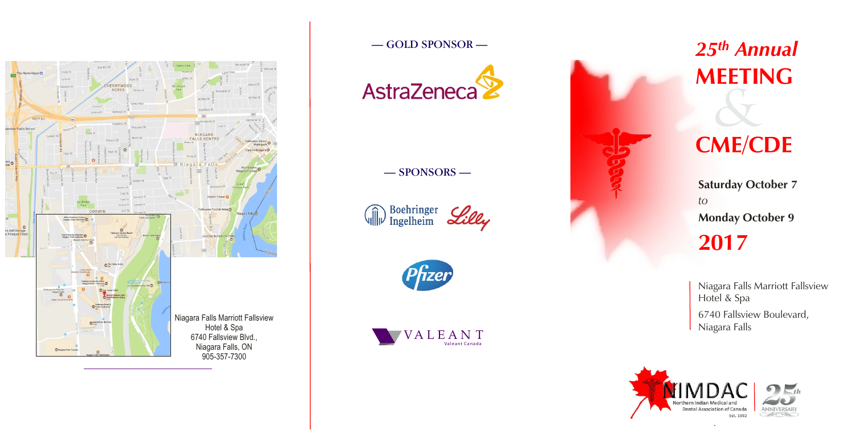# *25th Annual* **MEETING**

# *&* **CME/CDE**

**2017 Saturday October 7** *to*  **Monday October 9**

Niagara Falls Marriott Fallsview Hotel & Spa 6740 Fallsview Boulevard, Niagara Falls









## — SPONSORS —

 $\label{eq:decomp} \widehat{\text{W}}$  Ingelheim



### — GOLD SPONSOR —